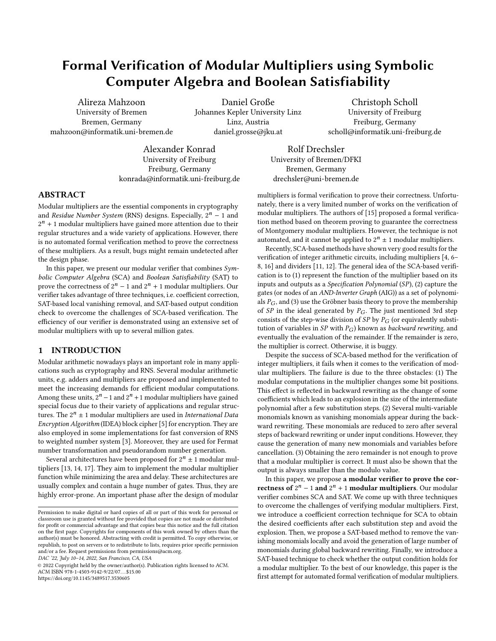# Formal Verification of Modular Multipliers using Symbolic Computer Algebra and Boolean Satisfiability

Alireza Mahzoon University of Bremen Bremen, Germany mahzoon@informatik.uni-bremen.de

Daniel Große Johannes Kepler University Linz Linz, Austria daniel.grosse@jku.at

Christoph Scholl University of Freiburg Freiburg, Germany scholl@informatik.uni-freiburg.de

Alexander Konrad University of Freiburg Freiburg, Germany konrada@informatik.uni-freiburg.de

Rolf Drechsler University of Bremen/DFKI Bremen, Germany drechsler@uni-bremen.de

## ABSTRACT

Modular multipliers are the essential components in cryptography and Residue Number System (RNS) designs. Especially,  $2^n - 1$  and  $2<sup>n</sup> + 1$  modular multipliers have gained more attention due to their regular structures and a wide variety of applications. However, there is no automated formal verification method to prove the correctness of these multipliers. As a result, bugs might remain undetected after the design phase.

In this paper, we present our modular verifier that combines  $Sym$ bolic Computer Algebra (SCA) and Boolean Satisfiability (SAT) to prove the correctness of  $2^n - 1$  and  $2^n + 1$  modular multipliers. Our verifier takes advantage of three techniques, i.e. coefficient correction, SAT-based local vanishing removal, and SAT-based output condition check to overcome the challenges of SCA-based verification. The efficiency of our verifier is demonstrated using an extensive set of modular multipliers with up to several million gates.

## 1 INTRODUCTION

Modular arithmetic nowadays plays an important role in many applications such as cryptography and RNS. Several modular arithmetic units, e.g. adders and multipliers are proposed and implemented to meet the increasing demands for efficient modular computations. Among these units,  $2^n - 1$  and  $2^n + 1$  modular multipliers have gained special focus due to their variety of applications and regular structures. The  $2^n \pm 1$  modular multipliers are used in International Data Encryption Algorithm (IDEA) block cipher [\[5\]](#page-5-0) for encryption. They are also employed in some implementations for fast conversion of RNS to weighted number system [\[3\]](#page-5-1). Moreover, they are used for Fermat number transformation and pseudorandom number generation.

Several architectures have been proposed for  $2^n \pm 1$  modular multipliers [\[13,](#page-5-2) [14,](#page-5-3) [17\]](#page-5-4). They aim to implement the modular multiplier function while minimizing the area and delay. These architectures are usually complex and contain a huge number of gates. Thus, they are highly error-prone. An important phase after the design of modular

DAC '22, July 10–14, 2022, San Francisco, CA, USA

© 2022 Copyright held by the owner/author(s). Publication rights licensed to ACM.

ACM ISBN 978-1-4503-9142-9/22/07... \$15.00

<https://doi.org/10.1145/3489517.3530605>

multipliers is formal verification to prove their correctness. Unfortunately, there is a very limited number of works on the verification of modular multipliers. The authors of [\[15\]](#page-5-5) proposed a formal verification method based on theorem proving to guarantee the correctness of Montgomery modular multipliers. However, the technique is not automated, and it cannot be applied to  $2^n \pm 1$  modular multipliers.

Recently, SCA-based methods have shown very good results for the verification of integer arithmetic circuits, including multipliers [\[4,](#page-5-6) [6–](#page-5-7) [8,](#page-5-8) [16\]](#page-5-9) and dividers [\[11,](#page-5-10) [12\]](#page-5-11). The general idea of the SCA-based verification is to (1) represent the function of the multiplier based on its inputs and outputs as a Specification Polynomial (SP), (2) capture the gates (or nodes of an AND-Inverter Graph (AIG)) as a set of polynomials  $P_G$ , and (3) use the Gröbner basis theory to prove the membership of  $SP$  in the ideal generated by  $P_G$ . The just mentioned 3rd step consists of the step-wise division of  $SP$  by  $P_G$  (or equivalently substitution of variables in  $SP$  with  $P_G$ ) known as *backward rewriting*, and eventually the evaluation of the remainder. If the remainder is zero, the multiplier is correct. Otherwise, it is buggy.

Despite the success of SCA-based method for the verification of integer multipliers, it fails when it comes to the verification of modular multipliers. The failure is due to the three obstacles: (1) The modular computations in the multiplier changes some bit positions. This effect is reflected in backward rewriting as the change of some coefficients which leads to an explosion in the size of the intermediate polynomial after a few substitution steps. (2) Several multi-variable monomials known as vanishing monomials appear during the backward rewriting. These monomials are reduced to zero after several steps of backward rewriting or under input conditions. However, they cause the generation of many new monomials and variables before cancellation. (3) Obtaining the zero remainder is not enough to prove that a modular multiplier is correct. It must also be shown that the output is always smaller than the modulo value.

In this paper, we propose a modular verifier to prove the correctness of  $2^n - 1$  and  $2^n + 1$  modular multipliers. Our modular verifier combines SCA and SAT. We come up with three techniques to overcome the challenges of verifying modular multipliers. First, we introduce a coefficient correction technique for SCA to obtain the desired coefficients after each substitution step and avoid the explosion. Then, we propose a SAT-based method to remove the vanishing monomials locally and avoid the generation of large number of monomials during global backward rewriting. Finally, we introduce a SAT-based technique to check whether the output condition holds for a modular multiplier. To the best of our knowledge, this paper is the first attempt for automated formal verification of modular multipliers.

Permission to make digital or hard copies of all or part of this work for personal or classroom use is granted without fee provided that copies are not made or distributed for profit or commercial advantage and that copies bear this notice and the full citation on the first page. Copyrights for components of this work owned by others than the author(s) must be honored. Abstracting with credit is permitted. To copy otherwise, or republish, to post on servers or to redistribute to lists, requires prior specific permission and/or a fee. Request permissions from permissions@acm.org.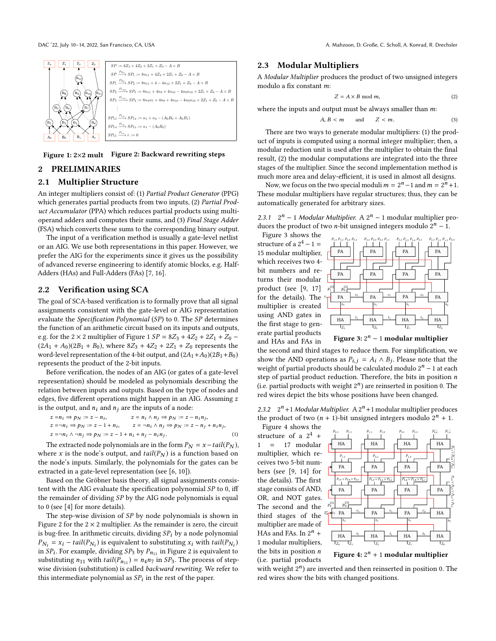<span id="page-1-0"></span>

Figure 1: 2×2 mult Figure 2: Backward rewriting steps

## 2 PRELIMINARIES

# 2.1 Multiplier Structure

An integer multipliers consist of: (1) Partial Product Generator (PPG) which generates partial products from two inputs, (2) Partial Product Accumulator (PPA) which reduces partial products using multioperand adders and computes their sums, and (3) Final Stage Adder (FSA) which converts these sums to the corresponding binary output.

The input of a verification method is usually a gate-level netlist or an AIG. We use both representations in this paper. However, we prefer the AIG for the experiments since it gives us the possibility of advanced reverse engineering to identify atomic blocks, e.g. Half-Adders (HAs) and Full-Adders (FAs) [\[7,](#page-5-12) [16\]](#page-5-9).

## 2.2 Verification using SCA

The goal of SCA-based verification is to formally prove that all signal assignments consistent with the gate-level or AIG representation evaluate the Specification Polynomial (SP) to 0. The SP determines the function of an arithmetic circuit based on its inputs and outputs, e.g. for the 2  $\times$  2 multiplier of Figure [1](#page-1-0)  $SP = 8Z_3 + 4Z_2 + 2Z_1 + Z_0$  –  $(2A_1 + A_0)(2B_1 + B_0)$ , where  $8Z_3 + 4Z_2 + 2Z_1 + Z_0$  represents the word-level representation of the 4-bit output, and  $(2A_1+A_0)(2B_1+B_0)$ represents the product of the 2-bit inputs.

Before verification, the nodes of an AIG (or gates of a gate-level representation) should be modeled as polynomials describing the relation between inputs and outputs. Based on the type of nodes and edges, five different operations might happen in an AIG. Assuming z is the output, and  $n_i$  and  $n_j$  are the inputs of a node:

$$
z = n_i \Rightarrow p_N := z - n_i, \qquad z = n_i \land n_j \Rightarrow p_N := z - n_i n_j, \nz = \neg n_i \Rightarrow p_N := z - 1 + n_i, \qquad z = \neg n_i \land n_j \Rightarrow p_N := z - n_j + n_i n_j, \nz = \neg n_i \land \neg n_j \Rightarrow p_N := z - 1 + n_i + n_j - n_i n_j.
$$
\n(1)

The extracted node polynomials are in the form  $P_N = x - tail(P_N)$ , where x is the node's output, and  $tail(P_N)$  is a function based on the node's inputs. Similarly, the polynomials for the gates can be extracted in a gate-level representation (see [\[6,](#page-5-7) [10\]](#page-5-13)).

Based on the Gröbner basis theory, all signal assignments consistent with the AIG evaluate the specification polynomial SP to 0, iff the remainder of dividing SP by the AIG node polynomials is equal to 0 (see [\[4\]](#page-5-6) for more details).

The step-wise division of SP by node polynomials is shown in Figure [2](#page-1-0) for the  $2 \times 2$  multiplier. As the remainder is zero, the circuit is bug-free. In arithmetic circuits, dividing  $SP_i$  by a node polynomial  $P_{N_i} = x_i - tail(P_{N_i})$  is equivalent to substituting  $x_i$  with  $tail(P_{N_i})$ <br>in  $SP_i$ . For example, dividing  $SP_i$  by  $P_i$  in Figure 2 is equivalent to in  $SP_1$ . For example, dividing  $SP_3$  by  $P_{n_{11}}$  in Figure [2](#page-1-0) is equivalent to expect the expected in  $SP_2$ . The process of step. substituting  $n_{11}$  with  $tail(P_{n_{11}}) = n_4 n_7$  in  $SP_3$ . The process of stepwise division (substitution) is called backward rewriting. We refer to this intermediate polynomial as  $SP_i$  in the rest of the paper.

# 2.3 Modular Multipliers

A Modular Multiplier produces the product of two unsigned integers modulo a fix constant m:

$$
Z = A \times B \text{ mod } m,\tag{2}
$$

where the inputs and output must be always smaller than  $m$ :

$$
A, B < m \qquad \text{and} \qquad Z < m. \tag{3}
$$

There are two ways to generate modular multipliers: (1) the product of inputs is computed using a normal integer multiplier; then, a modular reduction unit is used after the multiplier to obtain the final result, (2) the modular computations are integrated into the three stages of the multiplier. Since the second implementation method is much more area and delay-efficient, it is used in almost all designs.

Now, we focus on the two special moduli  $m = 2<sup>n</sup> - 1$  and  $m = 2<sup>n</sup> + 1$ . These modular multipliers have regular structures; thus, they can be automatically generated for arbitrary sizes.

| 2.3.1 $2^n - 1$ Modular Multiplier. A $2^n - 1$ modular multiplier pro-     |                           |  |
|-----------------------------------------------------------------------------|---------------------------|--|
| duces the product of two <i>n</i> -bit unsigned integers modulo $2^n - 1$ . |                           |  |
| Figure 3 shows the                                                          | ית מת מת מת מת מת מת מת מ |  |

structure of a  $2^4 - 1 =$ 15 modular multiplier, which receives two 4 bit numbers and returns their modular product (see [\[9,](#page-5-14) [17\]](#page-5-4) for the details). The multiplier is created using AND gates in the first stage to generate partial products and HAs and FAs in

<span id="page-1-1"></span>

Figure 3:  $2^n - 1$  modular multiplier

the second and third stages to reduce them. For simplification, we show the AND operations as  $P_{i,j} = A_i \wedge B_j$ . Please note that the weight of partial products should be calculated modulo  $2^n - 1$  at each weight of partial products should be calculated modulo  $2^n - 1$  at each step of partial product reduction. Therefore, the bits in position  $n$ (i.e. partial products with weight  $2<sup>n</sup>$ ) are reinserted in position 0. The red wires depict the bits whose positions have been changed.

2.3.2  $2^n + 1$  Modular Multiplier. A  $2^n + 1$  modular multiplier produces the product of two  $(n + 1)$ -bit unsigned integers modulo  $2^n + 1$ .<br>Figure 4 shows the

Figure [4](#page-1-2) shows the structure of a  $2^4$  + 1 = 17 modular multiplier, which receives two 5-bit numbers (see [\[9,](#page-5-14) [14\]](#page-5-3) for the details). The first stage consists of AND, OR, and NOT gates. The second and the third stages of the multiplier are made of HAs and FAs. In  $2^n$  + 1 modular multipliers, the bits in position  $n$ (i.e. partial products

<span id="page-1-2"></span>

Figure 4:  $2<sup>n</sup> + 1$  modular multiplier

with weight  $2^n$ ) are inverted and then reinserted in position 0. The red wires show the bits with changed positions.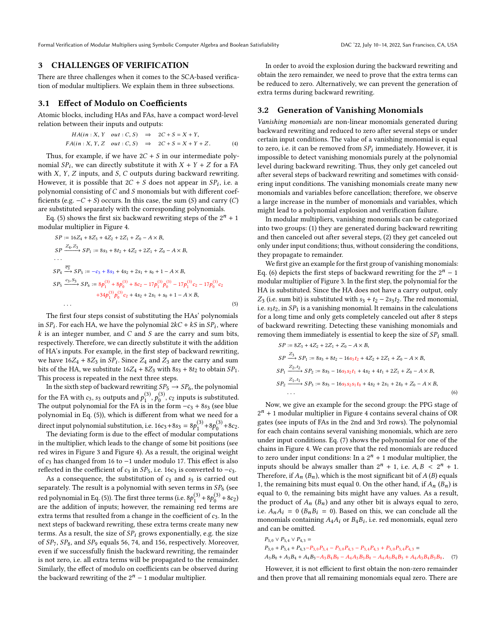Formal Verification of Modular Multipliers using Symbolic Computer Algebra and Boolean Satisfiability DAC '22, July 10-14, 2022, San Francisco, CA, USA

#### 3 CHALLENGES OF VERIFICATION

There are three challenges when it comes to the SCA-based verification of modular multipliers. We explain them in three subsections.

#### 3.1 Effect of Modulo on Coefficients

Atomic blocks, including HAs and FAs, have a compact word-level relation between their inputs and outputs:

$$
HA(in : X, Y \quad out : C, S) \Rightarrow 2C + S = X + Y,
$$
  

$$
FA(in : X, Y, Z \quad out : C, S) \Rightarrow 2C + S = X + Y + Z.
$$
 (4)

Thus, for example, if we have  $2C + S$  in our intermediate polynomial  $SP_i$ , we can directly substitute it with  $X + Y + Z$  for a FA<br>with  $X, Y, Z$  inputs and S.C outputs during backward rewriting with  $X$ ,  $Y$ ,  $Z$  inputs, and  $S$ ,  $C$  outputs during backward rewriting. However, it is possible that  $2C + S$  does not appear in  $SP_i$ , i.e. a<br>polynomial consisting of C and S monomials but with different cost. polynomial consisting of  $C$  and  $S$  monomials but with different coefficients (e.g.  $-C + S$ ) occurs. In this case, the sum (S) and carry (C) are substituted separately with the corresponding polynomials.

Eq. [\(5\)](#page-2-0) shows the first six backward rewriting steps of the  $2^n + 1$ modular multiplier in Figure [4.](#page-1-2)

$$
SP := 16Z_4 + 8Z_3 + 4Z_2 + 2Z_1 + Z_0 - A \times B,
$$
  
\n
$$
SP \xrightarrow{Z_4, Z_3} SP_1 := 8s_3 + 8t_2 + 4Z_2 + 2Z_1 + Z_0 - A \times B,
$$
  
\n...\n
$$
SP_4 \xrightarrow{\overline{c_3}} SP_5 := -c_3 + 8s_3 + 4s_2 + 2s_1 + s_0 + 1 - A \times B,
$$
  
\n
$$
SP_5 \xrightarrow{c_3, S_3} SP_6 := 8p_1^{(3)} + 8p_0^{(3)} + 8c_2 - 17p_1^{(3)}p_0^{(3)} - 17p_1^{(3)}c_2 - 17p_0^{(3)}c_2
$$
  
\n
$$
+34p_1^{(3)}p_0^{(3)}c_2 + 4s_2 + 2s_1 + s_0 + 1 - A \times B,
$$
  
\n...\n(5)

The first four steps consist of substituting the HAs' polynomials in  $SP_i$ . For each HA, we have the polynomial  $2kC + kS$  in  $SP_i$ , where  $k$  is an integer number and C and S are the carry and sum bits  $k$  is an integer number, and  $C$  and  $S$  are the carry and sum bits, respectively. Therefore, we can directly substitute it with the addition of HA's inputs. For example, in the first step of backward rewriting, we have  $16Z_4 + 8Z_3$  in  $SP_i$ . Since  $Z_4$  and  $Z_3$  are the carry and sum<br>bits of the HA we substitute  $16Z_1 + 8Z_2$  with  $8z_2 + 8t_3$  to obtain  $SP_i$ . bits of the HA, we substitute  $16Z_4 + 8Z_3$  with  $8s_3 + 8t_2$  to obtain  $SP_1$ . This process is repeated in the next three steps.

In the sixth step of backward rewriting  $SP_5 \rightarrow SP_6$ , the polynomial for the FA with  $c_3$ ,  $s_3$  outputs and  $p_1^{(3)}$ ,  $p_0^{(3)}$ ,  $c_2$  inputs is substituted.<br>The output polynomial for the FA is in the form  $-c_2 + 8c_2$  (see blue The output polynomial for the FA is in the form  $-c_3 + 8s_3$  (see blue polynomial in Eq. [\(5\)](#page-2-0)), which is different from what we need for a direct input polynomial substitution, i.e.  $16c_3 + 8s_3 = 8p_1^{(3)} + 8p_0^{(3)} + 8c_2$ .<br>The deviating form is due to the effect of modular computations

The deviating form is due to the effect of modular computations in the multiplier, which leads to the change of some bit positions (see red wires in Figure [3](#page-1-1) and Figure [4\)](#page-1-2). As a result, the original weight of <sup>c</sup><sup>3</sup> has changed from <sup>16</sup> to <sup>−</sup><sup>1</sup> under modulo 17. This effect is also reflected in the coefficient of  $c_3$  in  $SP_5$ , i.e. 16 $c_3$  is converted to  $-c_3$ .

As a consequence, the substitution of  $c_3$  and  $s_3$  is carried out separately. The result is a polynomial with seven terms in  $SP_6$  (see red polynomial in Eq. [\(5\)](#page-2-0)). The first three terms (i.e.  $8p_1^{(3)} + 8p_0^{(3)} + 8c_2$ ) are the addition of inputs; however, the remaining red terms are extra terms that resulted from a change in the coefficient of  $c_3$ . In the next steps of backward rewriting, these extra terms create many new terms. As a result, the size of  $SP<sub>i</sub>$  grows exponentially, e.g. the size of  $SP_7$ ,  $SP_8$ , and  $SP_9$  equals 56, 74, and 156, respectively. Moreover, even if we successfully finish the backward rewriting, the remainder is not zero, i.e. all extra terms will be propagated to the remainder. Similarly, the effect of modulo on coefficients can be observed during the backward rewriting of the  $2<sup>n</sup> - 1$  modular multiplier.

In order to avoid the explosion during the backward rewriting and obtain the zero remainder, we need to prove that the extra terms can be reduced to zero. Alternatively, we can prevent the generation of extra terms during backward rewriting.

#### 3.2 Generation of Vanishing Monomials

Vanishing monomials are non-linear monomials generated during backward rewriting and reduced to zero after several steps or under certain input conditions. The value of a vanishing monomial is equal to zero, i.e. it can be removed from  $SP_i$  immediately. However, it is<br>impossible to detect vanishing monomials purely at the polynomial impossible to detect vanishing monomials purely at the polynomial level during backward rewriting. Thus, they only get canceled out after several steps of backward rewriting and sometimes with considering input conditions. The vanishing monomials create many new monomials and variables before cancellation; therefore, we observe a large increase in the number of monomials and variables, which might lead to a polynomial explosion and verification failure.

In modular multipliers, vanishing monomials can be categorized into two groups: (1) they are generated during backward rewriting and then canceled out after several steps, (2) they get canceled out only under input conditions; thus, without considering the conditions, they propagate to remainder.

<span id="page-2-0"></span>We first give an example for the first group of vanishing monomials: Eq. [\(6\)](#page-2-1) depicts the first steps of backward rewriting for the  $2^n - 1$ modular multiplier of Figure [3.](#page-1-1) In the first step, the polynomial for the HA is substituted. Since the HA does not have a carry output, only  $Z_3$  (i.e. sum bit) is substituted with  $s_3 + t_2 - 2s_3t_2$ . The red monomial, i.e.  $s_3t_2$ , in  $SP_1$  is a vanishing monomial. It remains in the calculations for a long time and only gets completely canceled out after 8 steps of backward rewriting. Detecting these vanishing monomials and removing them immediately is essential to keep the size of  $SP_i$  small.

<span id="page-2-1"></span>
$$
SP := 8Z_3 + 4Z_2 + 2Z_1 + Z_0 - A \times B,
$$
  
\n
$$
SP \xrightarrow{Z_3} SP_1 := 8s_3 + 8t_2 - 16s_3t_2 + 4Z_2 + 2Z_1 + Z_0 - A \times B,
$$
  
\n
$$
SP_1 \xrightarrow{Z_2, t_2} SP_2 := 8s_3 - 16s_3s_2t_1 + 4s_2 + 4t_1 + 2Z_1 + Z_0 - A \times B,
$$
  
\n
$$
SP_2 \xrightarrow{Z_1, t_1} SP_3 := 8s_3 - 16s_3s_2s_1t_0 + 4s_2 + 2s_1 + 2t_0 + Z_0 - A \times B,
$$
  
\n... (6)

Now, we give an example for the second group: the PPG stage of  $2<sup>n</sup> + 1$  modular multiplier in Figure [4](#page-1-2) contains several chains of OR gates (see inputs of FAs in the 2nd and 3rd rows). The polynomial for each chain contains several vanishing monomials, which are zero under input conditions. Eq. [\(7\)](#page-2-2) shows the polynomial for one of the chains in Figure [4.](#page-1-2) We can prove that the red monomials are reduced to zero under input conditions: In a  $2^n + 1$  modular multiplier, the inputs should be always smaller than  $2^n + 1$ , i.e.  $A, B \leq 2^n + 1$ .<br>Therefore if  $A \setminus (B)$  which is the most significant bit of  $A (B)$  equals Therefore, if  $A_n$  ( $B_n$ ), which is the most significant bit of A (B) equals 1, the remaining bits must equal 0. On the other hand, if  $A_n$  ( $B_n$ ) is equal to 0, the remaining bits might have any values. As a result, the product of  $A_n$  ( $B_n$ ) and any other bit is always equal to zero, i.e.  $A_nA_i = 0$  ( $B_nB_i = 0$ ). Based on this, we can conclude all the monomials containing  $A_4A_i$  or  $B_4B_i$ , i.e. red monomials, equal zero<br>and can be omitted and can be omitted.

<span id="page-2-2"></span>
$$
P_{3,0} \vee P_{3,4} \vee P_{4,3} =
$$
  
\n
$$
P_{3,0} + P_{3,4} + P_{4,3} - P_{3,0}P_{3,4} - P_{3,0}P_{4,3} - P_{3,4}P_{4,3} + P_{3,0}P_{3,4}P_{4,3} =
$$
  
\n
$$
A_3B_0 + A_3B_4 + A_4B_3 - A_3B_4B_0 - A_4A_3B_3B_0 - A_4A_3B_4B_3 + A_4A_3B_4B_3B_0.
$$
 (7)

However, it is not efficient to first obtain the non-zero remainder and then prove that all remaining monomials equal zero. There are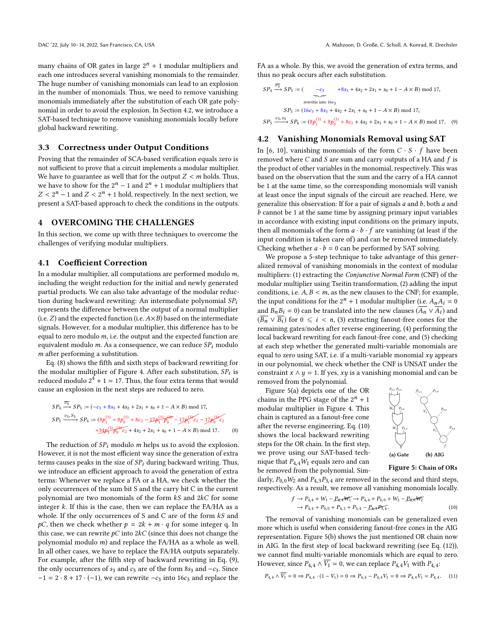many chains of OR gates in large  $2^n + 1$  modular multipliers and each one introduces several vanishing monomials to the remainder. The huge number of vanishing monomials can lead to an explosion in the number of monomials. Thus, we need to remove vanishing monomials immediately after the substitution of each OR gate polynomial in order to avoid the explosion. In Section [4.2,](#page-3-0) we introduce a SAT-based technique to remove vanishing monomials locally before global backward rewriting.

#### 3.3 Correctness under Output Conditions

Proving that the remainder of SCA-based verification equals zero is not sufficient to prove that a circuit implements a modular multiplier. We have to guarantee as well that for the output  $Z < m$  holds. Thus, we have to show for the  $2^n - 1$  and  $2^n + 1$  modular multipliers that  $Z < 2^n - 1$  and  $Z < 2^n + 1$  hold, respectively. In the next section, we present a SAT-based approach to check the conditions in the outputs present a SAT-based approach to check the conditions in the outputs.

## 4 OVERCOMING THE CHALLENGES

In this section, we come up with three techniques to overcome the challenges of verifying modular multipliers.

#### 4.1 Coefficient Correction

In a modular multiplier, all computations are performed modulo m, including the weight reduction for the initial and newly generated partial products. We can also take advantage of the modular reduction during backward rewriting: An intermediate polynomial  $SP_i$ represents the difference between the output of a normal multiplier (i.e.  $Z$ ) and the expected function (i.e.  $A \times B$ ) based on the intermediate signals. However, for a modular multiplier, this difference has to be equal to zero modulo  $m$ , i.e. the output and the expected function are equivalent modulo  $m$ . As a consequence, we can reduce  $SP_i$  modulo m after performing a substitution.

Eq. [\(8\)](#page-3-1) shows the fifth and sixth steps of backward rewriting for the modular multiplier of Figure [4.](#page-1-2) After each substitution,  $SP_i$  is<br>reduced modulo  $2^4 + 1 = 17$ . Thus, the four extra terms that would reduced modulo  $2^4 + 1 = 17$ . Thus, the four extra terms that would cause an explosion in the next steps are reduced to zero.

$$
SP_4 \xrightarrow{c_{3}} SP_5 := (-c_3 + 8s_3 + 4s_2 + 2s_1 + s_0 + 1 - A \times B) \mod 17,
$$
  
\n
$$
SP_5 \xrightarrow{c_3, S_3} SP_6 := (8p_1^{(3)} + 8p_0^{(3)} + 8c_2 - 17p_1^{(3)}p_0^{(3)} - 17p_1^{(3)}c_2 - 17p_0^{(3)}c_2
$$
  
\n
$$
+34p_1^{(3)}p_0^{(3)}c_2 + 4s_2 + 2s_1 + s_0 + 1 - A \times B) \mod 17.
$$
 (8)

The reduction of  $SP_i$  modulo m helps us to avoid the explosion. However, it is not the most efficient way since the generation of extra terms causes peaks in the size of  $SP_i$  during backward writing. Thus, we introduce an efficient approach to avoid the generation of extra terms: Whenever we replace a FA or a HA, we check whether the only occurrences of the sum bit S and the carry bit C in the current polynomial are two monomials of the form kS and <sup>2</sup>kC for some integer  $k$ . If this is the case, then we can replace the FA/HA as a whole. If the only occurrences of S and C are of the form  $kS$  and  $pC$ , then we check whether  $p = 2k + m \cdot q$  for some integer q. In this case, we can rewrite  $pC$  into  $2kC$  (since this does not change the polynomial modulo m) and replace the FA/HA as a whole as well. In all other cases, we have to replace the FA/HA outputs separately. For example, after the fifth step of backward rewriting in Eq. [\(9\)](#page-3-2), the only occurrences of  $s_3$  and  $c_3$  are of the form  $8s_3$  and  $-c_3$ . Since  $-1 = 2 \cdot 8 + 17 \cdot (-1)$ , we can rewrite  $-c_3$  into 16c<sub>3</sub> and replace the

FA as a whole. By this, we avoid the generation of extra terms, and thus no peak occurs after each substitution.

<span id="page-3-2"></span>
$$
SP_4 \xrightarrow{\overline{c_3}} SP_5 := \begin{pmatrix} -c_3 & +8s_3 + 4s_2 + 2s_1 + s_0 + 1 - A \times B \text{)} \mod 17, \\ \text{rewrite into } 16c_3 \\ SP_5 := (16c_3 + 8s_3 + 4s_2 + 2s_1 + s_0 + 1 - A \times B) \mod 17, \\ SP_5 \xrightarrow{c_3, s_3} SP_6 := (8p_1^{(3)} + 8p_0^{(3)} + 8c_2 + 4s_2 + 2s_1 + s_0 + 1 - A \times B) \mod 17. \end{pmatrix}
$$

#### <span id="page-3-0"></span>4.2 Vanishing Monomials Removal using SAT

In [\[6,](#page-5-7) [10\]](#page-5-13), vanishing monomials of the form  $C \cdot S \cdot f$  have been removed where  $C$  and  $S$  are sum and carry outputs of a HA and  $f$  is the product of other variables in the monomial, respectively. This was based on the observation that the sum and the carry of a HA cannot be 1 at the same time, so the corresponding monomials will vanish at least once the input signals of the circuit are reached. Here, we generalize this observation: If for a pair of signals  $a$  and  $b$ , both  $a$  and b cannot be <sup>1</sup> at the same time by assigning primary input variables in accordance with existing input conditions on the primary inputs, then all monomials of the form  $a \cdot b \cdot f$  are vanishing (at least if the input condition is taken care of) and can be removed immediately. Checking whether  $a \cdot b = 0$  can be performed by SAT solving.

We propose a 5-step technique to take advantage of this generalized removal of vanishing monomials in the context of modular multipliers: (1) extracting the Conjunctive Normal Form (CNF) of the modular multiplier using Tseitin transformation, (2) adding the input conditions, i.e.  $A, B < m$ , as the new clauses to the CNF; for example, the input conditions for the  $2^n + 1$  modular multiplier (i.e.  $A_n A_i = 0$ <br>and  $B_n B_i = 0$ ) can be translated into the new clauses  $(\overline{A_n} \vee \overline{A_n})$  and and  $B_nB_i = 0$ ) can be translated into the new clauses  $(\overline{A_n} \vee \overline{A_i})$  and  $(\overline{B_n} \vee \overline{B_i})$  for  $0 \le i < n$ , (3) extracting fanout-free cones for the remaining gates/nodes after reverse engineering, (4) performing the local backward rewriting for each fanout-free cone, and (5) checking at each step whether the generated multi-variable monomials are equal to zero using SAT, i.e. if a multi-variable monomial  $xy$  appears in our polynomial, we check whether the CNF is UNSAT under the constraint  $x \wedge y = 1$ . If yes, xy is a vanishing monomial and can be removed from the polynomial.

<span id="page-3-1"></span>Figure [5](#page-3-3)[\(a\)](#page-3-4) depicts one of the OR chains in the PPG stage of the  $2^n + 1$ modular multiplier in Figure [4.](#page-1-2) This chain is captured as a fanout-free cone after the reverse engineering. Eq. [\(10\)](#page-3-5) shows the local backward rewriting steps for the OR chain. In the first step, we prove using our SAT-based technique that  $P_{4,4}W_1$  equals zero and can be removed from the polynomial. Sim-

<span id="page-3-6"></span><span id="page-3-5"></span><span id="page-3-4"></span><span id="page-3-3"></span>

ilarly,  $P_{0,0}W_2$  and  $P_{4,3}P_{3,4}$  are removed in the second and third steps, respectively. As a result, we remove all vanishing monomials locally.

$$
f \to P_{4,4} + W_1 - P_{4,4}W_1 \to P_{4,4} + P_{0,0} + W_2 - P_{0,0}W_2
$$
  
\n
$$
\to P_{4,4} + P_{0,0} + P_{4,3} + P_{3,4} - P_{4,4}P_{3,4}.
$$
  
\n(10)

The removal of vanishing monomials can be generalized even more which is useful when considering fanout-free cones in the AIG representation. Figure [5](#page-3-3)[\(b\)](#page-3-6) shows the just mentioned OR chain now in AIG. In the first step of local backward rewriting (see Eq. [\(12\)](#page-4-0)), we cannot find multi-variable monomials which are equal to zero. However, since  $P_{4,4} \wedge \overline{V_1} = 0$ , we can replace  $P_{4,4}V_1$  with  $P_{4,4}$ :

$$
P_{4,4} \wedge \overline{V_1} = 0 \Rightarrow P_{4,4} \cdot (1 - V_1) = 0 \Rightarrow P_{4,4} - P_{4,4}V_1 = 0 \Rightarrow P_{4,4}V_1 = P_{4,4}. \tag{11}
$$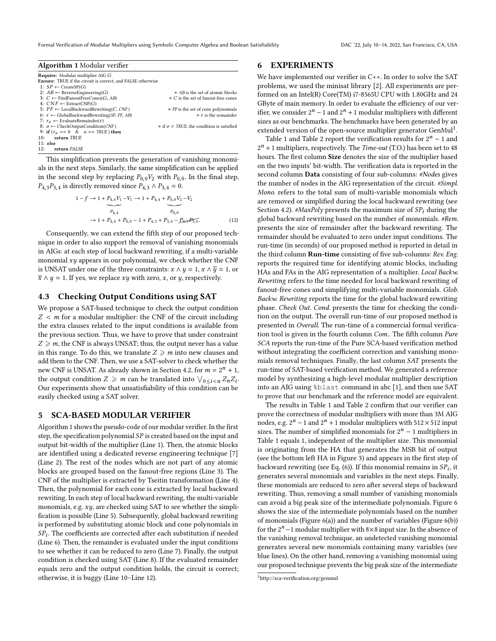Formal Verification of Modular Multipliers using Symbolic Computer Algebra and Boolean Satisfiability DAC '22, July 10-14, 2022, San Francisco, CA, USA

<span id="page-4-1"></span>

| <b>Algorithm 1</b> Modular verifier                                |                                                             |
|--------------------------------------------------------------------|-------------------------------------------------------------|
| <b>Require:</b> Modular multiplier AIG G                           |                                                             |
| <b>Ensure:</b> TRUE if the circuit is correct, and FALSE otherwise |                                                             |
| 1: $SP \leftarrow$ CreateSP(G)                                     |                                                             |
| 2: $AB \leftarrow$ Reverse Engineering(G)                          | $\triangleright$ AB is the set of atomic blocks             |
| 3: $C \leftarrow$ FindFanoutFreeCones(G, AB)                       | $\triangleright$ C is the set of fanout-free cones          |
| 4: $CNF \leftarrow$ ExtractCNF(G)                                  |                                                             |
| 5: $PF \leftarrow$ LocalBackwardRewriting(C, CNF)                  | $\triangleright$ PF is the set of cone polynomials          |
| 6: $r \leftarrow$ GlobalBackwardRewriting(SP, PF, AB)              | $\triangleright$ r is the remainder                         |
| 7: $r_e \leftarrow$ EvaluateRemainder( <i>r</i> )                  |                                                             |
| 8: $o \leftarrow$ CheckOutputCondition(CNF)                        | $\triangleright$ if $o = TRUE$ , the condition is satisfied |
| 9: if $(r_e == 0 \& o == TRUE)$ then                               |                                                             |
| return TRUE<br>10:                                                 |                                                             |
| $11:$ else                                                         |                                                             |
| return FALSE<br>12:                                                |                                                             |

This simplification prevents the generation of vanishing monomials in the next steps. Similarly, the same simplification can be applied in the second step by replacing  $P_{0,0}V_2$  with  $P_{0,0}$ . In the final step,  $P_{4,3}P_{3,4}$  is directly removed since  $P_{4,3} \wedge P_{3,4} = 0$ .

$$
1 - f \rightarrow 1 + P_{4,4}V_1 - V_1 \rightarrow 1 + P_{4,4} + P_{0,0}V_2 - V_2
$$
  
\n
$$
P_{4,4}
$$
  
\n
$$
\rightarrow 1 + P_{4,4} + P_{0,0} - 1 + P_{4,3} + P_{3,4} - P_{4,3}P_{5,4}.
$$
 (12)

Consequently, we can extend the fifth step of our proposed technique in order to also support the removal of vanishing monomials in AIGs: at each step of local backward rewriting, if a multi-variable monomial  $xy$  appears in our polynomial, we check whether the CNF is UNSAT under one of the three constraints:  $x \wedge y = 1$ ,  $x \wedge \overline{y} = 1$ , or  $\bar{x} \wedge y = 1$ . If yes, we replace *xy* with zero, *x*, or *y*, respectively.

#### 4.3 Checking Output Conditions using SAT

We propose a SAT-based technique to check the output condition  $Z < m$  for a modular multiplier: the CNF of the circuit including the extra clauses related to the input conditions is available from the previous section. Thus, we have to prove that under constraint  $Z \geq m$ , the CNF is always UNSAT; thus, the output never has a value in this range. To do this, we translate  $Z \geq m$  into new clauses and add them to the CNF. Then, we use a SAT-solver to check whether the new CNF is UNSAT. As already shown in Section [4.2,](#page-3-0) for  $m = 2<sup>n</sup> + 1$ ,<br>the output condition  $Z \ge m$  can be translated into  $\sqrt{1 - Z^2}$ . the output condition  $Z \geqslant m$  can be translated into  $\bigvee_{0 \leq i \leq n} Z_n Z_i$ .<br>Our experiments show that unsatisfiability of this condition can be Our experiments show that unsatisfiability of this condition can be easily checked using a SAT solver.

#### <span id="page-4-2"></span>5 SCA-BASED MODULAR VERIFIER

Algorithm [1](#page-4-1) shows the pseudo-code of our modular verifier. In the first step, the specification polynomial  $SP$  is created based on the input and output bit-width of the multiplier (Line [1\)](#page-4-2). Then, the atomic blocks are identified using a dedicated reverse engineering technique [\[7\]](#page-5-12) (Line [2\)](#page-4-2). The rest of the nodes which are not part of any atomic blocks are grouped based on the fanout-free regions (Line [3\)](#page-4-2). The CNF of the multiplier is extracted by Tseitin transformation (Line [4\)](#page-4-2). Then, the polynomial for each cone is extracted by local backward rewriting. In each step of local backward rewriting, the multi-variable monomials, e.g. xy, are checked using SAT to see whether the simplification is possible (Line [5\)](#page-4-2). Subsequently, global backward rewriting is performed by substituting atomic block and cone polynomials in  $SP_i$ . The coefficients are corrected after each substitution if needed  $(I, ine 6)$ . Then, the remainder is evaluated under the input conditions (Line [6\)](#page-4-2). Then, the remainder is evaluated under the input conditions to see whether it can be reduced to zero (Line [7\)](#page-4-2). Finally, the output condition is checked using SAT (Line [8\)](#page-4-2). If the evaluated remainder equals zero and the output condition holds, the circuit is correct; otherwise, it is buggy (Line [10–](#page-4-2)Line [12\)](#page-4-2).

#### 6 EXPERIMENTS

We have implemented our verifier in C++. In order to solve the SAT problems, we used the minisat library [\[2\]](#page-5-15). All experiments are performed on an Intel(R) Core(TM) i7-8565U CPU with 1.80GHz and 24 GByte of main memory. In order to evaluate the efficiency of our verifier, we consider  $2^n - 1$  and  $2^n + 1$  modular multipliers with different sizes as our benchmarks. The benchmarks have been generated by an extended version of the open-source multiplier generator GenMul<sup>[1](#page-4-3)</sup>.

<span id="page-4-0"></span>Table [1](#page-5-16) and Table [2](#page-5-16) report the verification results for  $2^n - 1$  and  $2<sup>n</sup> + 1$  multipliers, respectively. The *Time-out* (T.O.) has been set to 48 hours. The first column Size denotes the size of the multiplier based on the two inputs' bit-width. The verification data is reported in the second column Data consisting of four sub-columns: #Nodes gives the number of nodes in the AIG representation of the circuit. #Simpl. Mono. refers to the total sum of multi-variable monomials which are removed or simplified during the local backward rewriting (see Section [4.2\)](#page-3-0). #MaxPoly presents the maximum size of  $SP_i$  during the global backward rewriting based on the number of monomials. #Rem. presents the size of remainder after the backward rewriting. The remainder should be evaluated to zero under input conditions. The run-time (in seconds) of our proposed method is reported in detail in the third column Run-time consisting of five sub-columns: Rev. Eng. reports the required time for identifying atomic blocks, including HAs and FAs in the AIG representation of a multiplier. Local Backw. Rewriting refers to the time needed for local backward rewriting of fanout-free cones and simplifying multi-variable monomials. Glob. Backw. Rewriting reports the time for the global backward rewriting phase. Check Out. Cond. presents the time for checking the condition on the output. The overall run-time of our proposed method is presented in Overall. The run-time of a commercial formal verification tool is given in the fourth column Com.. The fifth column Pure SCA reports the run-time of the Pure SCA-based verification method without integrating the coefficient correction and vanishing monomials removal techniques. Finally, the last column SAT presents the run-time of SAT-based verification method. We generated a reference model by synthesizing a high-level modular multiplier description into an AIG using %blast command in abc [\[1\]](#page-5-17), and then use SAT to prove that our benchmark and the reference model are equivalent.

The results in Table [1](#page-5-16) and Table [2](#page-5-16) confirm that our verifier can prove the correctness of modular multipliers with more than 3M AIG nodes, e.g.  $2^n - 1$  and  $2^n + 1$  modular multipliers with 512  $\times$  512 input sizes. The number of simplified monomials for  $2^n - 1$  multipliers in Table [1](#page-5-16) equals 1, independent of the multiplier size. This monomial is originating from the HA that generates the MSB bit of output (see the bottom left HA in Figure [3\)](#page-1-1) and appears in the first step of backward rewriting (see Eq. [\(6\)](#page-2-1)). If this monomial remains in  $SP_i$ , it connectes several monomials and variables in the next steps. Finally generates several monomials and variables in the next steps. Finally, these monomials are reduced to zero after several steps of backward rewriting. Thus, removing a small number of vanishing monomials can avoid a big peak size of the intermediate polynomials. Figure [6](#page-5-16) shows the size of the intermediate polynomials based on the number of monomials (Figure [6](#page-5-16)[\(a\)\)](#page-5-18) and the number of variables (Figure [6](#page-5-16)[\(b\)\)](#page-5-19) for the  $2<sup>n</sup> - 1$  modular multiplier with 8×8 input size. In the absence of the vanishing removal technique, an undetected vanishing monomial generates several new monomials containing many variables (see blue lines). On the other hand, removing a vanishing monomial using our proposed technique prevents the big peak size of the intermediate

<span id="page-4-3"></span> $^{\rm 1}$ <http://sca-verification.org/genmul>